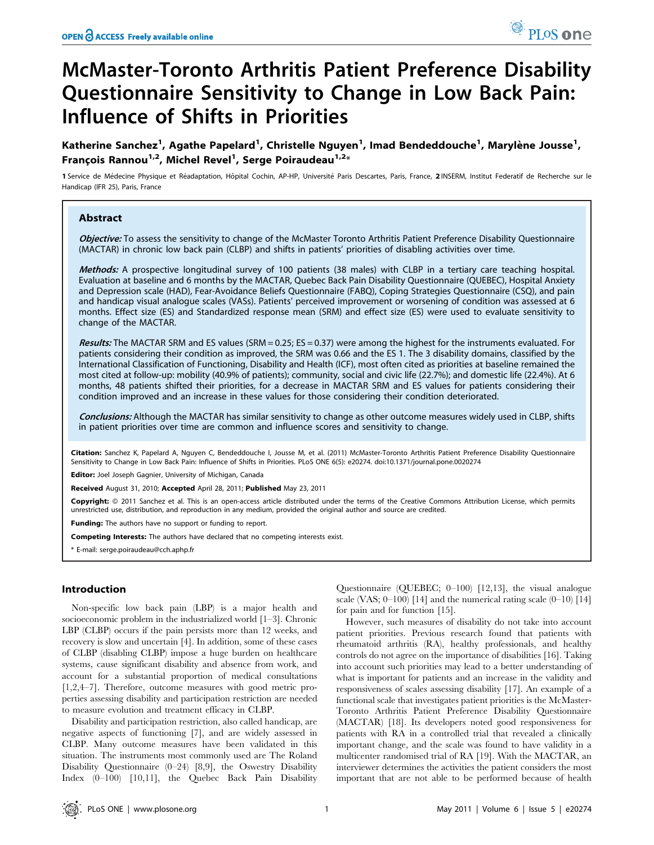# McMaster-Toronto Arthritis Patient Preference Disability Questionnaire Sensitivity to Change in Low Back Pain: Influence of Shifts in Priorities

Katherine Sanchez<sup>1</sup>, Agathe Papelard<sup>1</sup>, Christelle Nguyen<sup>1</sup>, Imad Bendeddouche<sup>1</sup>, Marylène Jousse<sup>1</sup>, François Rannou $^{1,2}$ , Michel Revel $^{1}$ , Serge Poiraudeau $^{1,2_\times}$ 

1 Service de Médecine Physique et Réadaptation, Hôpital Cochin, AP-HP, Université Paris Descartes, Paris, France, 2 INSERM, Institut Federatif de Recherche sur le Handicap (IFR 25), Paris, France

# Abstract

Objective: To assess the sensitivity to change of the McMaster Toronto Arthritis Patient Preference Disability Questionnaire (MACTAR) in chronic low back pain (CLBP) and shifts in patients' priorities of disabling activities over time.

Methods: A prospective longitudinal survey of 100 patients (38 males) with CLBP in a tertiary care teaching hospital. Evaluation at baseline and 6 months by the MACTAR, Quebec Back Pain Disability Questionnaire (QUEBEC), Hospital Anxiety and Depression scale (HAD), Fear-Avoidance Beliefs Questionnaire (FABQ), Coping Strategies Questionnaire (CSQ), and pain and handicap visual analogue scales (VASs). Patients' perceived improvement or worsening of condition was assessed at 6 months. Effect size (ES) and Standardized response mean (SRM) and effect size (ES) were used to evaluate sensitivity to change of the MACTAR.

Results: The MACTAR SRM and ES values (SRM = 0.25; ES = 0.37) were among the highest for the instruments evaluated. For patients considering their condition as improved, the SRM was 0.66 and the ES 1. The 3 disability domains, classified by the International Classification of Functioning, Disability and Health (ICF), most often cited as priorities at baseline remained the most cited at follow-up: mobility (40.9% of patients); community, social and civic life (22.7%); and domestic life (22.4%). At 6 months, 48 patients shifted their priorities, for a decrease in MACTAR SRM and ES values for patients considering their condition improved and an increase in these values for those considering their condition deteriorated.

Conclusions: Although the MACTAR has similar sensitivity to change as other outcome measures widely used in CLBP, shifts in patient priorities over time are common and influence scores and sensitivity to change.

Citation: Sanchez K, Papelard A, Nguyen C, Bendeddouche I, Jousse M, et al. (2011) McMaster-Toronto Arthritis Patient Preference Disability Questionnaire Sensitivity to Change in Low Back Pain: Influence of Shifts in Priorities. PLoS ONE 6(5): e20274. doi:10.1371/journal.pone.0020274

Editor: Joel Joseph Gagnier, University of Michigan, Canada

Received August 31, 2010; Accepted April 28, 2011; Published May 23, 2011

**Copyright:** © 2011 Sanchez et al. This is an open-access article distributed under the terms of the Creative Commons Attribution License, which permits unrestricted use, distribution, and reproduction in any medium, provided the original author and source are credited.

Funding: The authors have no support or funding to report.

Competing Interests: The authors have declared that no competing interests exist.

\* E-mail: serge.poiraudeau@cch.aphp.fr

# Introduction

Non-specific low back pain (LBP) is a major health and socioeconomic problem in the industrialized world [1–3]. Chronic LBP (CLBP) occurs if the pain persists more than 12 weeks, and recovery is slow and uncertain [4]. In addition, some of these cases of CLBP (disabling CLBP) impose a huge burden on healthcare systems, cause significant disability and absence from work, and account for a substantial proportion of medical consultations [1,2,4–7]. Therefore, outcome measures with good metric properties assessing disability and participation restriction are needed to measure evolution and treatment efficacy in CLBP.

Disability and participation restriction, also called handicap, are negative aspects of functioning [7], and are widely assessed in CLBP. Many outcome measures have been validated in this situation. The instruments most commonly used are The Roland Disability Questionnaire (0–24) [8,9], the Oswestry Disability Index (0–100) [10,11], the Quebec Back Pain Disability

Questionnaire (QUEBEC; 0–100) [12,13], the visual analogue scale (VAS;  $0-100$ ) [14] and the numerical rating scale  $(0-10)$  [14] for pain and for function [15].

However, such measures of disability do not take into account patient priorities. Previous research found that patients with rheumatoid arthritis (RA), healthy professionals, and healthy controls do not agree on the importance of disabilities [16]. Taking into account such priorities may lead to a better understanding of what is important for patients and an increase in the validity and responsiveness of scales assessing disability [17]. An example of a functional scale that investigates patient priorities is the McMaster-Toronto Arthritis Patient Preference Disability Questionnaire (MACTAR) [18]. Its developers noted good responsiveness for patients with RA in a controlled trial that revealed a clinically important change, and the scale was found to have validity in a multicenter randomised trial of RA [19]. With the MACTAR, an interviewer determines the activities the patient considers the most important that are not able to be performed because of health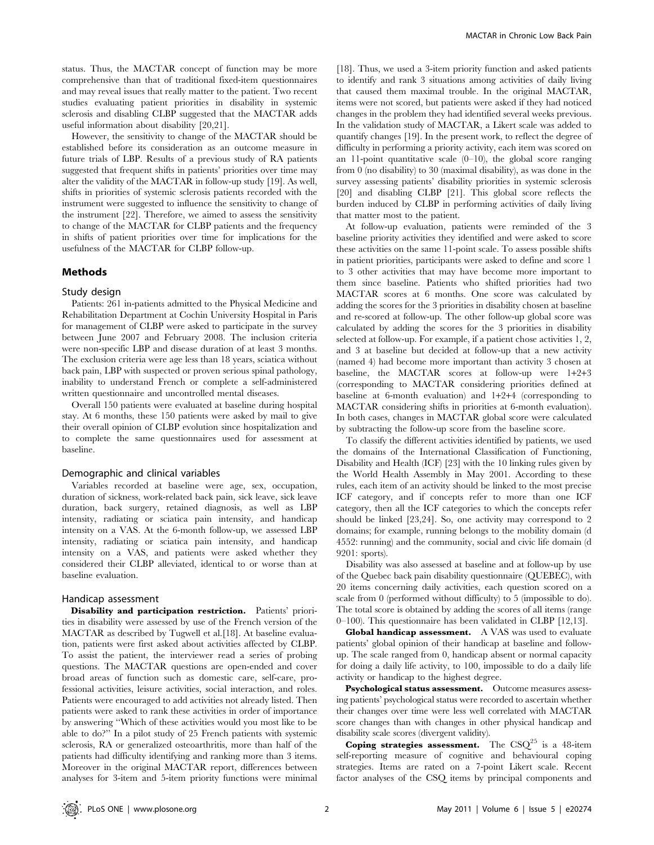status. Thus, the MACTAR concept of function may be more comprehensive than that of traditional fixed-item questionnaires and may reveal issues that really matter to the patient. Two recent studies evaluating patient priorities in disability in systemic sclerosis and disabling CLBP suggested that the MACTAR adds useful information about disability [20,21].

However, the sensitivity to change of the MACTAR should be established before its consideration as an outcome measure in future trials of LBP. Results of a previous study of RA patients suggested that frequent shifts in patients' priorities over time may alter the validity of the MACTAR in follow-up study [19]. As well, shifts in priorities of systemic sclerosis patients recorded with the instrument were suggested to influence the sensitivity to change of the instrument [22]. Therefore, we aimed to assess the sensitivity to change of the MACTAR for CLBP patients and the frequency in shifts of patient priorities over time for implications for the usefulness of the MACTAR for CLBP follow-up.

## Methods

#### Study design

Patients: 261 in-patients admitted to the Physical Medicine and Rehabilitation Department at Cochin University Hospital in Paris for management of CLBP were asked to participate in the survey between June 2007 and February 2008. The inclusion criteria were non-specific LBP and disease duration of at least 3 months. The exclusion criteria were age less than 18 years, sciatica without back pain, LBP with suspected or proven serious spinal pathology, inability to understand French or complete a self-administered written questionnaire and uncontrolled mental diseases.

Overall 150 patients were evaluated at baseline during hospital stay. At 6 months, these 150 patients were asked by mail to give their overall opinion of CLBP evolution since hospitalization and to complete the same questionnaires used for assessment at baseline.

#### Demographic and clinical variables

Variables recorded at baseline were age, sex, occupation, duration of sickness, work-related back pain, sick leave, sick leave duration, back surgery, retained diagnosis, as well as LBP intensity, radiating or sciatica pain intensity, and handicap intensity on a VAS. At the 6-month follow-up, we assessed LBP intensity, radiating or sciatica pain intensity, and handicap intensity on a VAS, and patients were asked whether they considered their CLBP alleviated, identical to or worse than at baseline evaluation.

#### Handicap assessment

Disability and participation restriction. Patients' priorities in disability were assessed by use of the French version of the MACTAR as described by Tugwell et al.[18]. At baseline evaluation, patients were first asked about activities affected by CLBP. To assist the patient, the interviewer read a series of probing questions. The MACTAR questions are open-ended and cover broad areas of function such as domestic care, self-care, professional activities, leisure activities, social interaction, and roles. Patients were encouraged to add activities not already listed. Then patients were asked to rank these activities in order of importance by answering ''Which of these activities would you most like to be able to do?'' In a pilot study of 25 French patients with systemic sclerosis, RA or generalized osteoarthritis, more than half of the patients had difficulty identifying and ranking more than 3 items. Moreover in the original MACTAR report, differences between analyses for 3-item and 5-item priority functions were minimal [18]. Thus, we used a 3-item priority function and asked patients to identify and rank 3 situations among activities of daily living that caused them maximal trouble. In the original MACTAR, items were not scored, but patients were asked if they had noticed changes in the problem they had identified several weeks previous. In the validation study of MACTAR, a Likert scale was added to quantify changes [19]. In the present work, to reflect the degree of difficulty in performing a priority activity, each item was scored on an 11-point quantitative scale  $(0-10)$ , the global score ranging from 0 (no disability) to 30 (maximal disability), as was done in the survey assessing patients' disability priorities in systemic sclerosis [20] and disabling CLBP [21]. This global score reflects the burden induced by CLBP in performing activities of daily living that matter most to the patient.

At follow-up evaluation, patients were reminded of the 3 baseline priority activities they identified and were asked to score these activities on the same 11-point scale. To assess possible shifts in patient priorities, participants were asked to define and score 1 to 3 other activities that may have become more important to them since baseline. Patients who shifted priorities had two MACTAR scores at 6 months. One score was calculated by adding the scores for the 3 priorities in disability chosen at baseline and re-scored at follow-up. The other follow-up global score was calculated by adding the scores for the 3 priorities in disability selected at follow-up. For example, if a patient chose activities 1, 2, and 3 at baseline but decided at follow-up that a new activity (named 4) had become more important than activity 3 chosen at baseline, the MACTAR scores at follow-up were 1+2+3 (corresponding to MACTAR considering priorities defined at baseline at 6-month evaluation) and 1+2+4 (corresponding to MACTAR considering shifts in priorities at 6-month evaluation). In both cases, changes in MACTAR global score were calculated by subtracting the follow-up score from the baseline score.

To classify the different activities identified by patients, we used the domains of the International Classification of Functioning, Disability and Health (ICF) [23] with the 10 linking rules given by the World Health Assembly in May 2001. According to these rules, each item of an activity should be linked to the most precise ICF category, and if concepts refer to more than one ICF category, then all the ICF categories to which the concepts refer should be linked [23,24]. So, one activity may correspond to 2 domains; for example, running belongs to the mobility domain (d 4552: running) and the community, social and civic life domain (d 9201: sports).

Disability was also assessed at baseline and at follow-up by use of the Quebec back pain disability questionnaire (QUEBEC), with 20 items concerning daily activities, each question scored on a scale from 0 (performed without difficulty) to 5 (impossible to do). The total score is obtained by adding the scores of all items (range 0–100). This questionnaire has been validated in CLBP [12,13].

Global handicap assessment. A VAS was used to evaluate patients' global opinion of their handicap at baseline and followup. The scale ranged from 0, handicap absent or normal capacity for doing a daily life activity, to 100, impossible to do a daily life activity or handicap to the highest degree.

Psychological status assessment. Outcome measures assessing patients' psychological status were recorded to ascertain whether their changes over time were less well correlated with MACTAR score changes than with changes in other physical handicap and disability scale scores (divergent validity).

Coping strategies assessment. The  $CSQ^{25}$  is a 48-item self-reporting measure of cognitive and behavioural coping strategies. Items are rated on a 7-point Likert scale. Recent factor analyses of the CSQ items by principal components and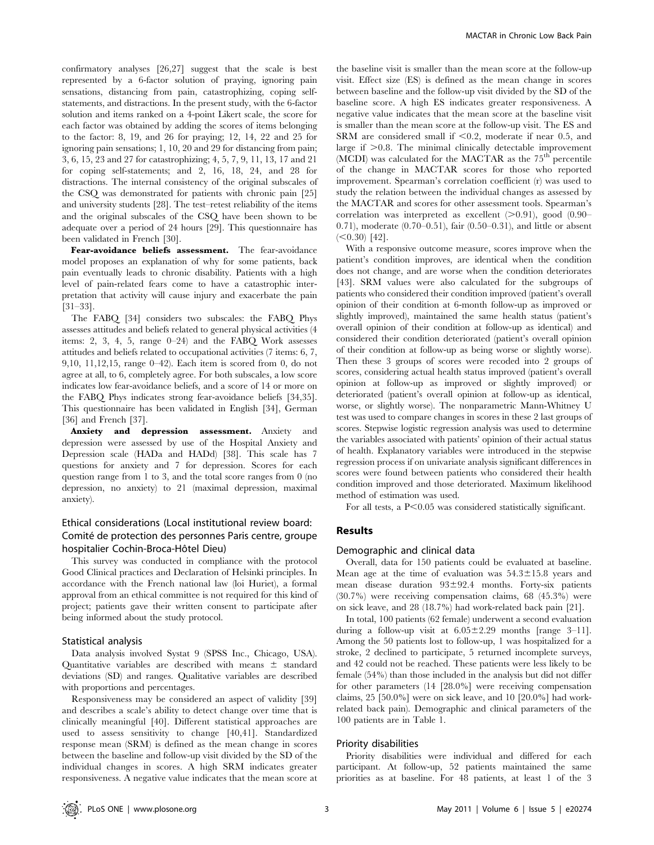confirmatory analyses [26,27] suggest that the scale is best represented by a 6-factor solution of praying, ignoring pain sensations, distancing from pain, catastrophizing, coping selfstatements, and distractions. In the present study, with the 6-factor solution and items ranked on a 4-point Likert scale, the score for each factor was obtained by adding the scores of items belonging to the factor: 8, 19, and 26 for praying; 12, 14, 22 and 25 for ignoring pain sensations; 1, 10, 20 and 29 for distancing from pain; 3, 6, 15, 23 and 27 for catastrophizing; 4, 5, 7, 9, 11, 13, 17 and 21 for coping self-statements; and 2, 16, 18, 24, and 28 for distractions. The internal consistency of the original subscales of the CSQ was demonstrated for patients with chronic pain [25] and university students [28]. The test–retest reliability of the items and the original subscales of the CSQ have been shown to be adequate over a period of 24 hours [29]. This questionnaire has been validated in French [30].

Fear-avoidance beliefs assessment. The fear-avoidance model proposes an explanation of why for some patients, back pain eventually leads to chronic disability. Patients with a high level of pain-related fears come to have a catastrophic interpretation that activity will cause injury and exacerbate the pain [31–33].

The FABQ [34] considers two subscales: the FABQ Phys assesses attitudes and beliefs related to general physical activities (4 items: 2, 3, 4, 5, range  $0-24$  and the FABO Work assesses attitudes and beliefs related to occupational activities (7 items: 6, 7, 9,10, 11,12,15, range 0–42). Each item is scored from 0, do not agree at all, to 6, completely agree. For both subscales, a low score indicates low fear-avoidance beliefs, and a score of 14 or more on the FABQ Phys indicates strong fear-avoidance beliefs [34,35]. This questionnaire has been validated in English [34], German [36] and French [37].

Anxiety and depression assessment. Anxiety and depression were assessed by use of the Hospital Anxiety and Depression scale (HADa and HADd) [38]. This scale has 7 questions for anxiety and 7 for depression. Scores for each question range from 1 to 3, and the total score ranges from 0 (no depression, no anxiety) to 21 (maximal depression, maximal anxiety).

# Ethical considerations (Local institutional review board: Comité de protection des personnes Paris centre, groupe hospitalier Cochin-Broca-Hôtel Dieu)

This survey was conducted in compliance with the protocol Good Clinical practices and Declaration of Helsinki principles. In accordance with the French national law (loi Huriet), a formal approval from an ethical committee is not required for this kind of project; patients gave their written consent to participate after being informed about the study protocol.

## Statistical analysis

Data analysis involved Systat 9 (SPSS Inc., Chicago, USA). Quantitative variables are described with means  $\pm$  standard deviations (SD) and ranges. Qualitative variables are described with proportions and percentages.

Responsiveness may be considered an aspect of validity [39] and describes a scale's ability to detect change over time that is clinically meaningful [40]. Different statistical approaches are used to assess sensitivity to change [40,41]. Standardized response mean (SRM) is defined as the mean change in scores between the baseline and follow-up visit divided by the SD of the individual changes in scores. A high SRM indicates greater responsiveness. A negative value indicates that the mean score at the baseline visit is smaller than the mean score at the follow-up visit. Effect size (ES) is defined as the mean change in scores between baseline and the follow-up visit divided by the SD of the baseline score. A high ES indicates greater responsiveness. A negative value indicates that the mean score at the baseline visit is smaller than the mean score at the follow-up visit. The ES and SRM are considered small if  $< 0.2$ , moderate if near 0.5, and large if  $>0.8$ . The minimal clinically detectable improvement (MCDI) was calculated for the MACTAR as the  $75<sup>th</sup>$  percentile of the change in MACTAR scores for those who reported improvement. Spearman's correlation coefficient (r) was used to study the relation between the individual changes as assessed by the MACTAR and scores for other assessment tools. Spearman's correlation was interpreted as excellent  $(>0.91)$ , good  $(0.90-$ 0.71), moderate (0.70–0.51), fair (0.50–0.31), and little or absent  $(<0.30)$  [42].

With a responsive outcome measure, scores improve when the patient's condition improves, are identical when the condition does not change, and are worse when the condition deteriorates [43]. SRM values were also calculated for the subgroups of patients who considered their condition improved (patient's overall opinion of their condition at 6-month follow-up as improved or slightly improved), maintained the same health status (patient's overall opinion of their condition at follow-up as identical) and considered their condition deteriorated (patient's overall opinion of their condition at follow-up as being worse or slightly worse). Then these 3 groups of scores were recoded into 2 groups of scores, considering actual health status improved (patient's overall opinion at follow-up as improved or slightly improved) or deteriorated (patient's overall opinion at follow-up as identical, worse, or slightly worse). The nonparametric Mann-Whitney U test was used to compare changes in scores in these 2 last groups of scores. Stepwise logistic regression analysis was used to determine the variables associated with patients' opinion of their actual status of health. Explanatory variables were introduced in the stepwise regression process if on univariate analysis significant differences in scores were found between patients who considered their health condition improved and those deteriorated. Maximum likelihood method of estimation was used.

For all tests, a  $P<0.05$  was considered statistically significant.

# Results

# Demographic and clinical data

Overall, data for 150 patients could be evaluated at baseline. Mean age at the time of evaluation was  $54.3 \pm 15.8$  years and mean disease duration  $93\pm92.4$  months. Forty-six patients (30.7%) were receiving compensation claims, 68 (45.3%) were on sick leave, and 28 (18.7%) had work-related back pain [21].

In total, 100 patients (62 female) underwent a second evaluation during a follow-up visit at  $6.05 \pm 2.29$  months [range 3–11]. Among the 50 patients lost to follow-up, 1 was hospitalized for a stroke, 2 declined to participate, 5 returned incomplete surveys, and 42 could not be reached. These patients were less likely to be female (54%) than those included in the analysis but did not differ for other parameters (14 [28.0%] were receiving compensation claims, 25 [50.0%] were on sick leave, and 10 [20.0%] had workrelated back pain). Demographic and clinical parameters of the 100 patients are in Table 1.

# Priority disabilities

Priority disabilities were individual and differed for each participant. At follow-up, 52 patients maintained the same priorities as at baseline. For 48 patients, at least 1 of the 3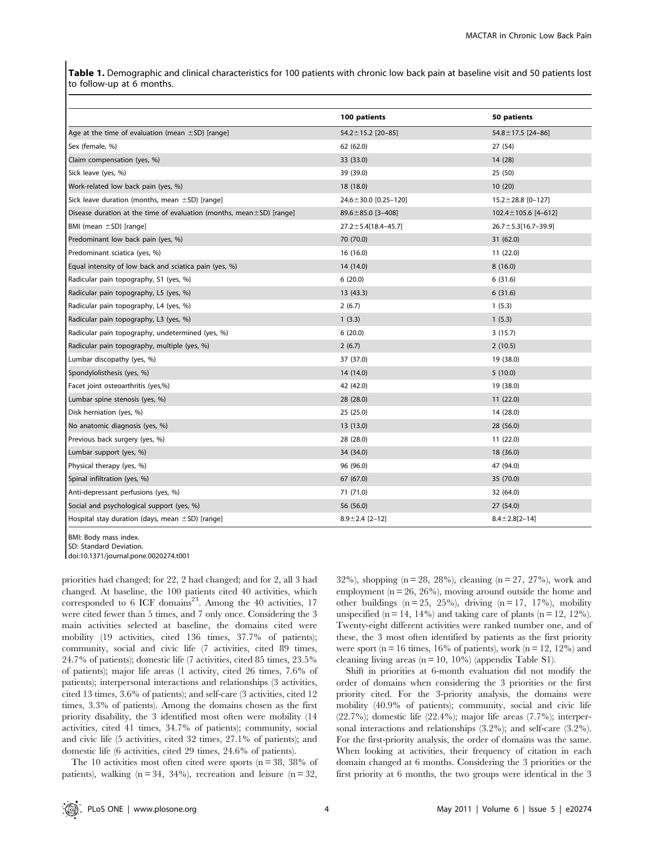Table 1. Demographic and clinical characteristics for 100 patients with chronic low back pain at baseline visit and 50 patients lost to follow-up at 6 months.

|                                                                            | 100 patients                | 50 patients                 |
|----------------------------------------------------------------------------|-----------------------------|-----------------------------|
| Age at the time of evaluation (mean $\pm$ SD) [range]                      | 54.2±15.2 [20-85]           | $54.8 \pm 17.5$ [24-86]     |
| Sex (female, %)                                                            | 62 (62.0)                   | 27 (54)                     |
| Claim compensation (yes, %)                                                | 33 (33.0)                   | 14 (28)                     |
| Sick leave (yes, %)                                                        | 39 (39.0)                   | 25 (50)                     |
| Work-related low back pain (yes, %)                                        | 18 (18.0)                   | 10(20)                      |
| Sick leave duration (months, mean $\pm$ SD) [range]                        | 24.6 ± 30.0 [0.25 - 120]    | $15.2 \pm 28.8$ [0-127]     |
| Disease duration at the time of evaluation (months, mean $\pm$ SD) [range] | 89.6±85.0 [3-408]           | $102.4 \pm 105.6$ [4-612]   |
| BMI (mean $\pm$ SD) [range]                                                | $27.2 \pm 5.4[18.4 - 45.7]$ | $26.7 \pm 5.3[16.7 - 39.9]$ |
| Predominant low back pain (yes, %)                                         | 70 (70.0)                   | 31 (62.0)                   |
| Predominant sciatica (yes, %)                                              | 16 (16.0)                   | 11(22.0)                    |
| Equal intensity of low back and sciatica pain (yes, %)                     | 14 (14.0)                   | 8(16.0)                     |
| Radicular pain topography, S1 (yes, %)                                     | 6(20.0)                     | 6(31.6)                     |
| Radicular pain topography, L5 (yes, %)                                     | 13 (43.3)                   | 6(31.6)                     |
| Radicular pain topography, L4 (yes, %)                                     | 2(6.7)                      | 1(5.3)                      |
| Radicular pain topography, L3 (yes, %)                                     | 1(3.3)                      | 1(5.3)                      |
| Radicular pain topography, undetermined (yes, %)                           | 6(20.0)                     | 3(15.7)                     |
| Radicular pain topography, multiple (yes, %)                               | 2(6.7)                      | 2(10.5)                     |
| Lumbar discopathy (yes, %)                                                 | 37 (37.0)                   | 19 (38.0)                   |
| Spondylolisthesis (yes, %)                                                 | 14 (14.0)                   | 5(10.0)                     |
| Facet joint osteoarthritis (yes,%)                                         | 42 (42.0)                   | 19 (38.0)                   |
| Lumbar spine stenosis (yes, %)                                             | 28 (28.0)                   | 11(22.0)                    |
| Disk herniation (yes, %)                                                   | 25 (25.0)                   | 14 (28.0)                   |
| No anatomic diagnosis (yes, %)                                             | 13 (13.0)                   | 28 (56.0)                   |
| Previous back surgery (yes, %)                                             | 28 (28.0)                   | 11(22.0)                    |
| Lumbar support (yes, %)                                                    | 34 (34.0)                   | 18 (36.0)                   |
| Physical therapy (yes, %)                                                  | 96 (96.0)                   | 47 (94.0)                   |
| Spinal infiltration (yes, %)                                               | 67 (67.0)                   | 35 (70.0)                   |
| Anti-depressant perfusions (yes, %)                                        | 71 (71.0)                   | 32 (64.0)                   |
| Social and psychological support (yes, %)                                  | 56 (56.0)                   | 27 (54.0)                   |
| Hospital stay duration (days, mean $\pm$ SD) [range]                       | $8.9 \pm 2.4$ [2-12]        | $8.4 \pm 2.8$ [2-14]        |

BMI: Body mass index.

SD: Standard Deviation.

doi:10.1371/journal.pone.0020274.t001

priorities had changed; for 22, 2 had changed; and for 2, all 3 had changed. At baseline, the 100 patients cited 40 activities, which corresponded to  $6$  ICF domains<sup>23</sup>. Among the 40 activities, 17 were cited fewer than 5 times, and 7 only once. Considering the 3 main activities selected at baseline, the domains cited were mobility (19 activities, cited 136 times, 37.7% of patients); community, social and civic life (7 activities, cited 89 times, 24.7% of patients); domestic life (7 activities, cited 85 times, 23.5% of patients); major life areas (1 activity, cited 26 times, 7.6% of patients); interpersonal interactions and relationships (3 activities, cited 13 times, 3.6% of patients); and self-care (3 activities, cited 12 times, 3.3% of patients). Among the domains chosen as the first priority disability, the 3 identified most often were mobility (14 activities, cited 41 times, 34.7% of patients); community, social and civic life (5 activities, cited 32 times, 27.1% of patients); and domestic life (6 activities, cited 29 times, 24.6% of patients).

The 10 activities most often cited were sports  $(n = 38, 38\%)$  of patients), walking  $(n = 34, 34\%)$ , recreation and leisure  $(n = 32, ...)$ 

32%), shopping ( $n = 28$ , 28%), cleaning ( $n = 27$ , 27%), work and employment ( $n = 26$ ,  $26\%$ ), moving around outside the home and other buildings  $(n = 25, 25\%)$ , driving  $(n = 17, 17\%)$ , mobility unspecified (n = 14, 14%) and taking care of plants (n = 12, 12%). Twenty-eight different activities were ranked number one, and of these, the 3 most often identified by patients as the first priority were sport ( $n = 16$  times, 16% of patients), work ( $n = 12, 12\%$ ) and cleaning living areas  $(n = 10, 10\%)$  (appendix Table S1).

Shift in priorities at 6-month evaluation did not modify the order of domains when considering the 3 priorities or the first priority cited. For the 3-priority analysis, the domains were mobility (40.9% of patients); community, social and civic life (22.7%); domestic life (22.4%); major life areas (7.7%); interpersonal interactions and relationships (3.2%); and self-care (3.2%). For the first-priority analysis, the order of domains was the same. When looking at activities, their frequency of citation in each domain changed at 6 months. Considering the 3 priorities or the first priority at 6 months, the two groups were identical in the 3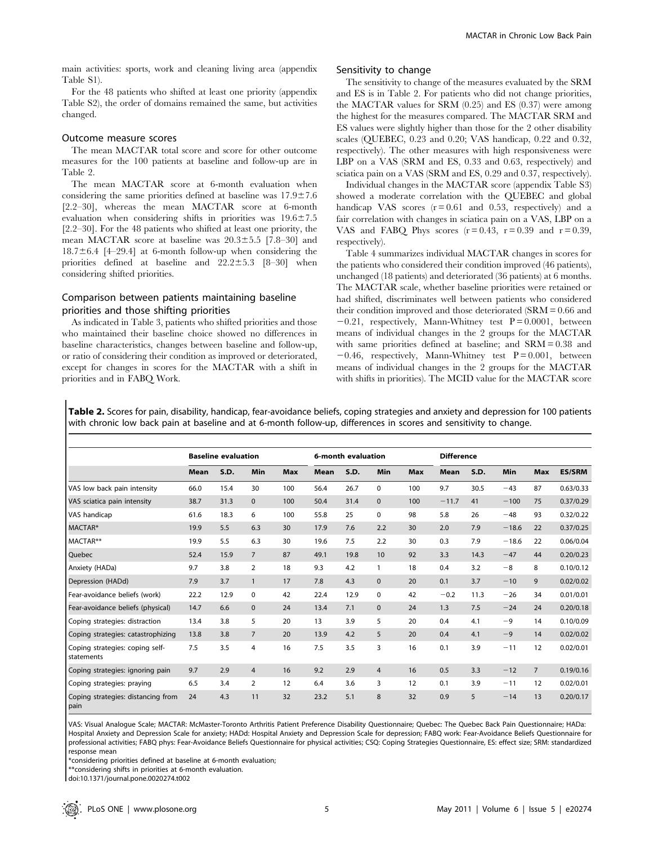For the 48 patients who shifted at least one priority (appendix Table S2), the order of domains remained the same, but activities changed.

# Outcome measure scores

The mean MACTAR total score and score for other outcome measures for the 100 patients at baseline and follow-up are in Table 2.

The mean MACTAR score at 6-month evaluation when considering the same priorities defined at baseline was  $17.9 \pm 7.6$ [2.2–30], whereas the mean MACTAR score at 6-month evaluation when considering shifts in priorities was  $19.6 \pm 7.5$ [2.2–30]. For the 48 patients who shifted at least one priority, the mean MACTAR score at baseline was  $20.3 \pm 5.5$  [7.8–30] and  $18.7\pm6.4$  [4–29.4] at 6-month follow-up when considering the priorities defined at baseline and  $22.2 \pm 5.3$  [8–30] when considering shifted priorities.

# Comparison between patients maintaining baseline priorities and those shifting priorities

As indicated in Table 3, patients who shifted priorities and those who maintained their baseline choice showed no differences in baseline characteristics, changes between baseline and follow-up, or ratio of considering their condition as improved or deteriorated, except for changes in scores for the MACTAR with a shift in priorities and in FABQ Work.

# Sensitivity to change

The sensitivity to change of the measures evaluated by the SRM and ES is in Table 2. For patients who did not change priorities, the MACTAR values for SRM (0.25) and ES (0.37) were among the highest for the measures compared. The MACTAR SRM and ES values were slightly higher than those for the 2 other disability scales (QUEBEC, 0.23 and 0.20; VAS handicap, 0.22 and 0.32, respectively). The other measures with high responsiveness were LBP on a VAS (SRM and ES, 0.33 and 0.63, respectively) and sciatica pain on a VAS (SRM and ES, 0.29 and 0.37, respectively).

Individual changes in the MACTAR score (appendix Table S3) showed a moderate correlation with the QUEBEC and global handicap VAS scores  $(r = 0.61$  and 0.53, respectively) and a fair correlation with changes in sciatica pain on a VAS, LBP on a VAS and FABO Phys scores  $(r=0.43, r=0.39, r=0.39, r=0.39,$ respectively).

Table 4 summarizes individual MACTAR changes in scores for the patients who considered their condition improved (46 patients), unchanged (18 patients) and deteriorated (36 patients) at 6 months. The MACTAR scale, whether baseline priorities were retained or had shifted, discriminates well between patients who considered their condition improved and those deteriorated (SRM = 0.66 and  $-0.21$ , respectively, Mann-Whitney test  $P = 0.0001$ , between means of individual changes in the 2 groups for the MACTAR with same priorities defined at baseline; and SRM = 0.38 and  $-0.46$ , respectively, Mann-Whitney test  $P = 0.001$ , between means of individual changes in the 2 groups for the MACTAR with shifts in priorities). The MCID value for the MACTAR score

Table 2. Scores for pain, disability, handicap, fear-avoidance beliefs, coping strategies and anxiety and depression for 100 patients with chronic low back pain at baseline and at 6-month follow-up, differences in scores and sensitivity to change.

|                                                        |      | <b>Baseline evaluation</b> |                |            |             | 6-month evaluation |              |            | <b>Difference</b> |      |         |                |               |  |
|--------------------------------------------------------|------|----------------------------|----------------|------------|-------------|--------------------|--------------|------------|-------------------|------|---------|----------------|---------------|--|
|                                                        | Mean | S.D.                       | Min            | <b>Max</b> | <b>Mean</b> | S.D.               | Min          | <b>Max</b> | <b>Mean</b>       | S.D. | Min     | <b>Max</b>     | <b>ES/SRM</b> |  |
| VAS low back pain intensity                            | 66.0 | 15.4                       | 30             | 100        | 56.4        | 26.7               | 0            | 100        | 9.7               | 30.5 | $-43$   | 87             | 0.63/0.33     |  |
| VAS sciatica pain intensity                            | 38.7 | 31.3                       | $\mathbf{0}$   | 100        | 50.4        | 31.4               | $\mathbf 0$  | 100        | $-11.7$           | 41   | $-100$  | 75             | 0.37/0.29     |  |
| VAS handicap                                           | 61.6 | 18.3                       | 6              | 100        | 55.8        | 25                 | $\mathbf 0$  | 98         | 5.8               | 26   | $-48$   | 93             | 0.32/0.22     |  |
| MACTAR*                                                | 19.9 | 5.5                        | 6.3            | 30         | 17.9        | 7.6                | 2.2          | 30         | 2.0               | 7.9  | $-18.6$ | 22             | 0.37/0.25     |  |
| MACTAR**                                               | 19.9 | 5.5                        | 6.3            | 30         | 19.6        | 7.5                | 2.2          | 30         | 0.3               | 7.9  | $-18.6$ | 22             | 0.06/0.04     |  |
| Quebec                                                 | 52.4 | 15.9                       | $\overline{7}$ | 87         | 49.1        | 19.8               | 10           | 92         | 3.3               | 14.3 | $-47$   | 44             | 0.20/0.23     |  |
| Anxiety (HADa)                                         | 9.7  | 3.8                        | 2              | 18         | 9.3         | 4.2                | 1            | 18         | 0.4               | 3.2  | $-8$    | 8              | 0.10/0.12     |  |
| Depression (HADd)                                      | 7.9  | 3.7                        | $\mathbf{1}$   | 17         | 7.8         | 4.3                | $\mathbf{0}$ | 20         | 0.1               | 3.7  | $-10$   | 9              | 0.02/0.02     |  |
| Fear-avoidance beliefs (work)                          | 22.2 | 12.9                       | $\mathbf 0$    | 42         | 22.4        | 12.9               | $\mathbf 0$  | 42         | $-0.2$            | 11.3 | $-26$   | 34             | 0.01/0.01     |  |
| Fear-avoidance beliefs (physical)                      | 14.7 | 6.6                        | $\mathbf{0}$   | 24         | 13.4        | 7.1                | $\mathbf{0}$ | 24         | 1.3               | 7.5  | $-24$   | 24             | 0.20/0.18     |  |
| Coping strategies: distraction                         | 13.4 | 3.8                        | 5              | 20         | 13          | 3.9                | 5            | 20         | 0.4               | 4.1  | $-9$    | 14             | 0.10/0.09     |  |
| Coping strategies: catastrophizing                     | 13.8 | 3.8                        | $\overline{7}$ | 20         | 13.9        | 4.2                | 5            | 20         | 0.4               | 4.1  | $-9$    | 14             | 0.02/0.02     |  |
| Coping strategies: coping self-<br><b>I</b> statements | 7.5  | 3.5                        | 4              | 16         | 7.5         | 3.5                | 3            | 16         | 0.1               | 3.9  | $-11$   | 12             | 0.02/0.01     |  |
| Coping strategies: ignoring pain                       | 9.7  | 2.9                        | 4              | 16         | 9.2         | 2.9                | 4            | 16         | 0.5               | 3.3  | $-12$   | $\overline{7}$ | 0.19/0.16     |  |
| Coping strategies: praying                             | 6.5  | 3.4                        | $\overline{2}$ | 12         | 6.4         | 3.6                | 3            | 12         | 0.1               | 3.9  | $-11$   | 12             | 0.02/0.01     |  |
| Coping strategies: distancing from<br>pain             | 24   | 4.3                        | 11             | 32         | 23.2        | 5.1                | 8            | 32         | 0.9               | 5    | $-14$   | 13             | 0.20/0.17     |  |

VAS: Visual Analogue Scale; MACTAR: McMaster-Toronto Arthritis Patient Preference Disability Questionnaire; Quebec: The Quebec Back Pain Questionnaire; HADa: Hospital Anxiety and Depression Scale for anxiety; HADd: Hospital Anxiety and Depression Scale for depression; FABQ work: Fear-Avoidance Beliefs Questionnaire for professional activities; FABQ phys: Fear-Avoidance Beliefs Questionnaire for physical activities; CSQ: Coping Strategies Questionnaire, ES: effect size; SRM: standardized response mean

\*considering priorities defined at baseline at 6-month evaluation;

\*\*considering shifts in priorities at 6-month evaluation.

doi:10.1371/journal.pone.0020274.t002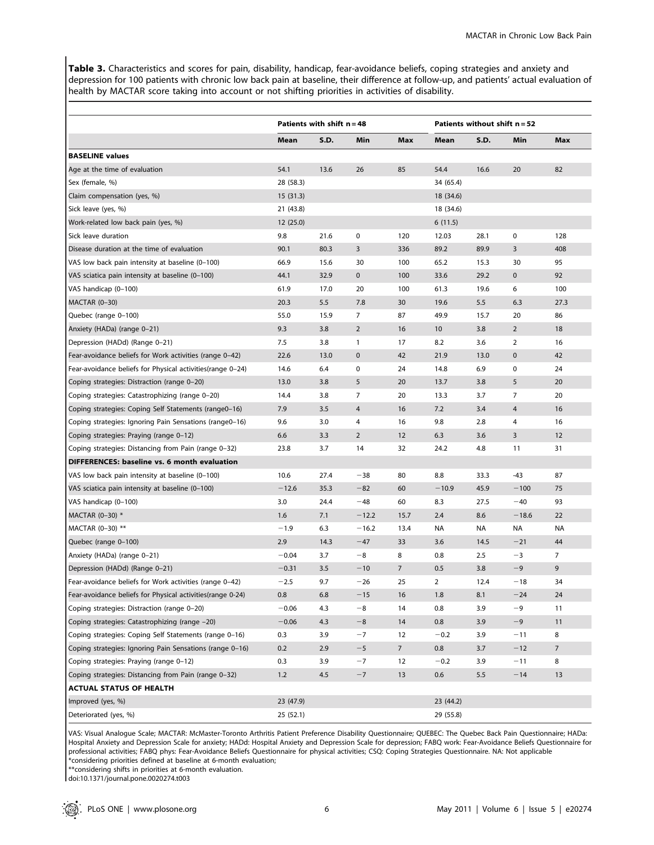Table 3. Characteristics and scores for pain, disability, handicap, fear-avoidance beliefs, coping strategies and anxiety and depression for 100 patients with chronic low back pain at baseline, their difference at follow-up, and patients' actual evaluation of health by MACTAR score taking into account or not shifting priorities in activities of disability.

|                                                            |           | Patients with shift $n = 48$ |                |                 |                            | Patients without shift $n = 52$ |                |                |  |  |  |
|------------------------------------------------------------|-----------|------------------------------|----------------|-----------------|----------------------------|---------------------------------|----------------|----------------|--|--|--|
|                                                            | Mean      | S.D.                         | Min            | Max             | S.D.<br>Max<br>Min<br>Mean |                                 |                |                |  |  |  |
| <b>BASELINE values</b>                                     |           |                              |                |                 |                            |                                 |                |                |  |  |  |
| Age at the time of evaluation                              | 54.1      | 13.6                         | 26             | 85              | 54.4                       | 16.6                            | 20             | 82             |  |  |  |
| Sex (female, %)                                            | 28 (58.3) |                              |                |                 | 34 (65.4)                  |                                 |                |                |  |  |  |
| Claim compensation (yes, %)                                | 15(31.3)  |                              |                | 18 (34.6)       |                            |                                 |                |                |  |  |  |
| Sick leave (yes, %)                                        | 21 (43.8) |                              |                |                 | 18 (34.6)                  |                                 |                |                |  |  |  |
| Work-related low back pain (yes, %)                        | 12(25.0)  |                              |                | 6(11.5)         |                            |                                 |                |                |  |  |  |
| Sick leave duration                                        | 9.8       | 21.6                         | $\mathbf 0$    | 120             | 12.03                      | 28.1                            | $\mathbf 0$    | 128            |  |  |  |
| Disease duration at the time of evaluation                 | 90.1      | 80.3                         | 3              | 336             | 89.2                       | 89.9                            | 3              | 408            |  |  |  |
| VAS low back pain intensity at baseline (0-100)            | 66.9      | 15.6                         | 30             | 100             | 65.2                       | 15.3                            | 30             | 95             |  |  |  |
| VAS sciatica pain intensity at baseline (0-100)            | 44.1      | 32.9                         | $\pmb{0}$      | 100             | 33.6                       | 29.2                            | $\mathbf 0$    | 92             |  |  |  |
| VAS handicap (0-100)                                       | 61.9      | 17.0                         | 20             | 100             | 61.3                       | 19.6                            | 6              | 100            |  |  |  |
| MACTAR (0-30)                                              | 20.3      | 5.5                          | 7.8            | 30              | 19.6                       | 5.5                             | 6.3            | 27.3           |  |  |  |
| Quebec (range 0-100)                                       | 55.0      | 15.9                         | 7              | 87              | 49.9                       | 15.7                            | 20             | 86             |  |  |  |
| Anxiety (HADa) (range 0-21)                                | 9.3       | 3.8                          | $\overline{2}$ | 16              | 10                         | 3.8                             | $\overline{2}$ | 18             |  |  |  |
| Depression (HADd) (Range 0-21)                             | 7.5       | 3.8                          | $\mathbf{1}$   | 17              | 8.2                        | 3.6                             | $\overline{2}$ | 16             |  |  |  |
| Fear-avoidance beliefs for Work activities (range 0-42)    | 22.6      | 13.0                         | $\mathbf 0$    | 42              | 21.9                       | 13.0                            | $\mathbf 0$    | 42             |  |  |  |
| Fear-avoidance beliefs for Physical activities(range 0-24) | 14.6      | 6.4                          | $\mathbf 0$    | 24              | 14.8                       | 6.9                             | 0              | 24             |  |  |  |
| Coping strategies: Distraction (range 0-20)                | 13.0      | 3.8                          | 5              | 20              | 13.7                       | 3.8                             | 5              | 20             |  |  |  |
| Coping strategies: Catastrophizing (range 0-20)            | 14.4      | 3.8                          | $\overline{7}$ | 20              | 13.3                       | 3.7                             | 7              | 20             |  |  |  |
| Coping strategies: Coping Self Statements (range0-16)      | 7.9       | 3.5                          | 4              | 16              | 7.2                        | 3.4                             | 4              | 16             |  |  |  |
| Coping strategies: Ignoring Pain Sensations (range0-16)    | 9.6       | 3.0                          | 4              | 16              | 9.8                        | 2.8                             | 4              | 16             |  |  |  |
| Coping strategies: Praying (range 0-12)                    | 6.6       | 3.3                          | $\overline{2}$ | 12              | 6.3                        | 3.6                             | 3              | 12             |  |  |  |
| Coping strategies: Distancing from Pain (range 0-32)       | 23.8      | 3.7                          | 14             | 32              | 24.2                       | 4.8                             | 11             | 31             |  |  |  |
| DIFFERENCES: baseline vs. 6 month evaluation               |           |                              |                |                 |                            |                                 |                |                |  |  |  |
| VAS low back pain intensity at baseline (0-100)            | 10.6      | 27.4                         | $-38$          | 80              | 8.8                        | 33.3                            | -43            | 87             |  |  |  |
| VAS sciatica pain intensity at baseline (0-100)            | $-12.6$   | 35.3                         | $-82$          | 60              | $-10.9$                    | 45.9                            | $-100$         | 75             |  |  |  |
| VAS handicap (0-100)                                       | 3.0       | 24.4                         | $-48$          | 60              | 8.3                        | 27.5                            | $-40$          | 93             |  |  |  |
| MACTAR (0-30) *                                            | 1.6       | 7.1                          | $-12.2$        | 15.7            | 2.4                        | 8.6                             | $-18.6$        | 22             |  |  |  |
| MACTAR (0-30) **                                           | $-1.9$    | 6.3                          | $-16.2$        | 13.4            | NA                         | NA                              | NA             | NA             |  |  |  |
| Quebec (range 0-100)                                       | 2.9       | 14.3                         | $-47$          | 33              | 3.6                        | 14.5                            | $-21$          | 44             |  |  |  |
| Anxiety (HADa) (range 0-21)                                | $-0.04$   | 3.7                          | $-8$           | 8               | 0.8                        | 2.5                             | -3             | 7              |  |  |  |
| Depression (HADd) (Range 0-21)                             | $-0.31$   | 3.5                          | $-10$          | $\overline{7}$  | 0.5                        | 3.8                             | $-9$           | 9              |  |  |  |
| Fear-avoidance beliefs for Work activities (range 0-42)    | $-2.5$    | 9.7                          | $-26$          | 25              | 2                          | 12.4                            | $-18$          | 34             |  |  |  |
| Fear-avoidance beliefs for Physical activities(range 0-24) | $0.8\,$   | 6.8                          | $-15$          | 16              | 1.8                        | 8.1                             | $-24$          | 24             |  |  |  |
| Coping strategies: Distraction (range 0-20)                | $-0.06$   | 4.3                          | $-8$           | 14              | 0.8                        | 3.9                             | $-9$           | 11             |  |  |  |
| Coping strategies: Catastrophizing (range -20)             | $-0.06$   | 4.3                          | $-8$           | 14              | 0.8                        | 3.9                             | $-9$           | 11             |  |  |  |
| Coping strategies: Coping Self Statements (range 0-16)     | 0.3       | 3.9                          | $-7$           | 12              | $-0.2$                     | 3.9                             | $-11$          | 8              |  |  |  |
| Coping strategies: Ignoring Pain Sensations (range 0-16)   | 0.2       | 2.9                          | $-5$           | $7\overline{ }$ | 0.8                        | 3.7                             | $-12$          | $\overline{7}$ |  |  |  |
| Coping strategies: Praying (range 0-12)                    | 0.3       | 3.9                          | $-7$           | 12              | $-0.2$                     | 3.9                             | $-11$          | 8              |  |  |  |
| Coping strategies: Distancing from Pain (range 0-32)       | 1.2       | 4.5                          | $-7$           | 13              | 0.6                        | 5.5                             | $-14$          | 13             |  |  |  |
| <b>ACTUAL STATUS OF HEALTH</b>                             |           |                              |                |                 |                            |                                 |                |                |  |  |  |
| Improved (yes, %)                                          | 23 (47.9) |                              |                |                 | 23 (44.2)                  |                                 |                |                |  |  |  |
| Deteriorated (yes, %)                                      | 25(52.1)  |                              |                |                 | 29 (55.8)                  |                                 |                |                |  |  |  |

VAS: Visual Analogue Scale; MACTAR: McMaster-Toronto Arthritis Patient Preference Disability Questionnaire; QUEBEC: The Quebec Back Pain Questionnaire; HADa: Hospital Anxiety and Depression Scale for anxiety; HADd: Hospital Anxiety and Depression Scale for depression; FABQ work: Fear-Avoidance Beliefs Questionnaire for professional activities; FABQ phys: Fear-Avoidance Beliefs Questionnaire for physical activities; CSQ: Coping Strategies Questionnaire. NA: Not applicable \*considering priorities defined at baseline at 6-month evaluation;

\*\*considering shifts in priorities at 6-month evaluation.

doi:10.1371/journal.pone.0020274.t003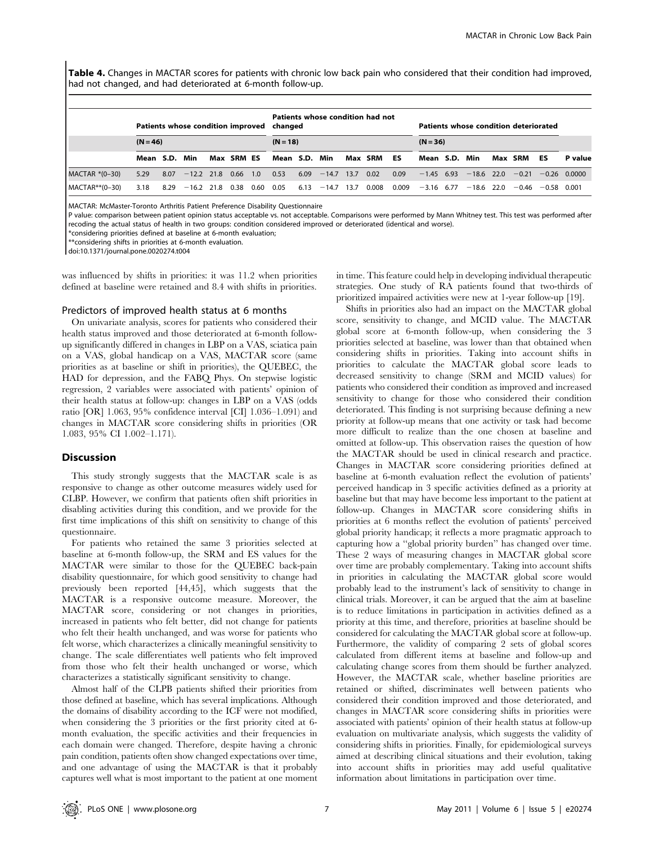Table 4. Changes in MACTAR scores for patients with chronic low back pain who considered that their condition had improved, had not changed, and had deteriorated at 6-month follow-up.

|                   | Patients whose condition improved changed |      |                       |  |            |      | Patients whose condition had not |            |         |      |         |           | Patients whose condition deteriorated |  |              |      |         |                     |                |  |
|-------------------|-------------------------------------------|------|-----------------------|--|------------|------|----------------------------------|------------|---------|------|---------|-----------|---------------------------------------|--|--------------|------|---------|---------------------|----------------|--|
|                   | $(N = 46)$                                |      |                       |  |            |      |                                  | $(N = 18)$ |         |      |         |           | $(N = 36)$                            |  |              |      |         |                     |                |  |
|                   | Mean S.D.                                 |      | Min                   |  | Max SRM ES |      | Mean S.D.                        |            | Min     |      | Max SRM | <b>ES</b> | Mean S.D.                             |  | Min          |      | Max SRM | ES                  | P value        |  |
| MACTAR *(0-30)    | 5.29                                      | 8.07 | $-12.2$ 21.8 0.66 1.0 |  |            |      | 0.53                             | 6.09       | $-14.7$ | 13.7 | 0.02    | 0.09      | $-1.45$ 6.93                          |  | $-18.6$ 22.0 |      | $-0.21$ |                     | $-0.26$ 0.0000 |  |
| $MACTAR** (0-30)$ | 3.18                                      | 8.29 | $-16.2$ 21.8          |  | 0.38       | 0.60 | 0.05                             | 6.13       | $-14.7$ | 13.7 | 0.008   | 0.009     | $-3.16$ 6.77                          |  | $-18.6$      | 22.0 |         | $-0.46 -0.58 0.001$ |                |  |

MACTAR: McMaster-Toronto Arthritis Patient Preference Disability Questionnaire

P value: comparison between patient opinion status acceptable vs. not acceptable. Comparisons were performed by Mann Whitney test. This test was performed after recoding the actual status of health in two groups: condition considered improved or deteriorated (identical and worse).

\*considering priorities defined at baseline at 6-month evaluation;

\*\*considering shifts in priorities at 6-month evaluation.

doi:10.1371/journal.pone.0020274.t004

was influenced by shifts in priorities: it was 11.2 when priorities defined at baseline were retained and 8.4 with shifts in priorities.

#### Predictors of improved health status at 6 months

On univariate analysis, scores for patients who considered their health status improved and those deteriorated at 6-month followup significantly differed in changes in LBP on a VAS, sciatica pain on a VAS, global handicap on a VAS, MACTAR score (same priorities as at baseline or shift in priorities), the QUEBEC, the HAD for depression, and the FABQ Phys. On stepwise logistic regression, 2 variables were associated with patients' opinion of their health status at follow-up: changes in LBP on a VAS (odds ratio [OR] 1.063, 95% confidence interval [CI] 1.036–1.091) and changes in MACTAR score considering shifts in priorities (OR 1.083, 95% CI 1.002–1.171).

#### **Discussion**

This study strongly suggests that the MACTAR scale is as responsive to change as other outcome measures widely used for CLBP. However, we confirm that patients often shift priorities in disabling activities during this condition, and we provide for the first time implications of this shift on sensitivity to change of this questionnaire.

For patients who retained the same 3 priorities selected at baseline at 6-month follow-up, the SRM and ES values for the MACTAR were similar to those for the QUEBEC back-pain disability questionnaire, for which good sensitivity to change had previously been reported [44,45], which suggests that the MACTAR is a responsive outcome measure. Moreover, the MACTAR score, considering or not changes in priorities, increased in patients who felt better, did not change for patients who felt their health unchanged, and was worse for patients who felt worse, which characterizes a clinically meaningful sensitivity to change. The scale differentiates well patients who felt improved from those who felt their health unchanged or worse, which characterizes a statistically significant sensitivity to change.

Almost half of the CLPB patients shifted their priorities from those defined at baseline, which has several implications. Although the domains of disability according to the ICF were not modified, when considering the 3 priorities or the first priority cited at 6 month evaluation, the specific activities and their frequencies in each domain were changed. Therefore, despite having a chronic pain condition, patients often show changed expectations over time, and one advantage of using the MACTAR is that it probably captures well what is most important to the patient at one moment in time. This feature could help in developing individual therapeutic strategies. One study of RA patients found that two-thirds of prioritized impaired activities were new at 1-year follow-up [19].

Shifts in priorities also had an impact on the MACTAR global score, sensitivity to change, and MCID value. The MACTAR global score at 6-month follow-up, when considering the 3 priorities selected at baseline, was lower than that obtained when considering shifts in priorities. Taking into account shifts in priorities to calculate the MACTAR global score leads to decreased sensitivity to change (SRM and MCID values) for patients who considered their condition as improved and increased sensitivity to change for those who considered their condition deteriorated. This finding is not surprising because defining a new priority at follow-up means that one activity or task had become more difficult to realize than the one chosen at baseline and omitted at follow-up. This observation raises the question of how the MACTAR should be used in clinical research and practice. Changes in MACTAR score considering priorities defined at baseline at 6-month evaluation reflect the evolution of patients' perceived handicap in 3 specific activities defined as a priority at baseline but that may have become less important to the patient at follow-up. Changes in MACTAR score considering shifts in priorities at 6 months reflect the evolution of patients' perceived global priority handicap; it reflects a more pragmatic approach to capturing how a ''global priority burden'' has changed over time. These 2 ways of measuring changes in MACTAR global score over time are probably complementary. Taking into account shifts in priorities in calculating the MACTAR global score would probably lead to the instrument's lack of sensitivity to change in clinical trials. Moreover, it can be argued that the aim at baseline is to reduce limitations in participation in activities defined as a priority at this time, and therefore, priorities at baseline should be considered for calculating the MACTAR global score at follow-up. Furthermore, the validity of comparing 2 sets of global scores calculated from different items at baseline and follow-up and calculating change scores from them should be further analyzed. However, the MACTAR scale, whether baseline priorities are retained or shifted, discriminates well between patients who considered their condition improved and those deteriorated, and changes in MACTAR score considering shifts in priorities were associated with patients' opinion of their health status at follow-up evaluation on multivariate analysis, which suggests the validity of considering shifts in priorities. Finally, for epidemiological surveys aimed at describing clinical situations and their evolution, taking into account shifts in priorities may add useful qualitative information about limitations in participation over time.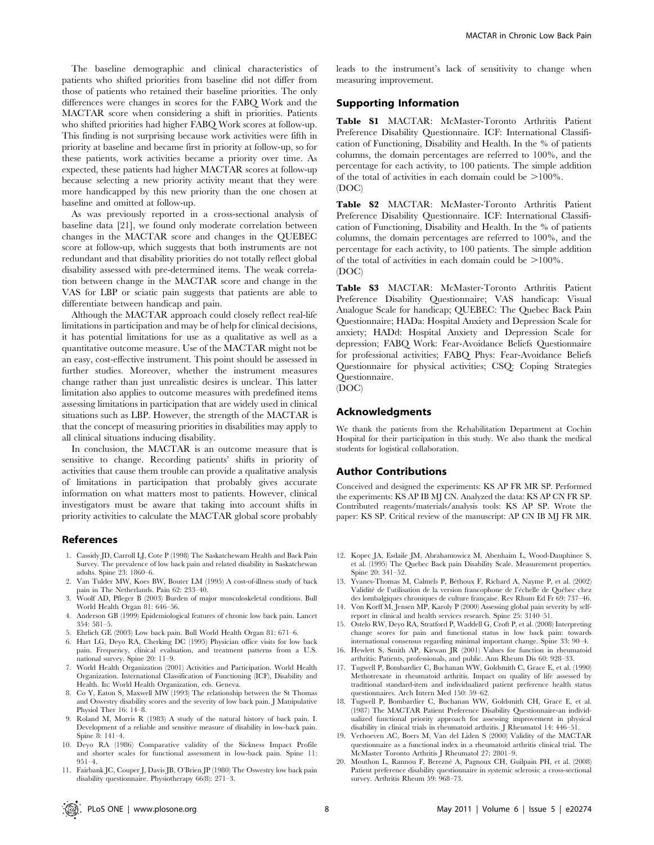The baseline demographic and clinical characteristics of patients who shifted priorities from baseline did not differ from those of patients who retained their baseline priorities. The only differences were changes in scores for the FABQ Work and the MACTAR score when considering a shift in priorities. Patients who shifted priorities had higher FABQ Work scores at follow-up. This finding is not surprising because work activities were fifth in priority at baseline and became first in priority at follow-up, so for these patients, work activities became a priority over time. As expected, these patients had higher MACTAR scores at follow-up because selecting a new priority activity meant that they were more handicapped by this new priority than the one chosen at baseline and omitted at follow-up.

As was previously reported in a cross-sectional analysis of baseline data [21], we found only moderate correlation between changes in the MACTAR score and changes in the QUEBEC score at follow-up, which suggests that both instruments are not redundant and that disability priorities do not totally reflect global disability assessed with pre-determined items. The weak correlation between change in the MACTAR score and change in the VAS for LBP or sciatic pain suggests that patients are able to differentiate between handicap and pain.

Although the MACTAR approach could closely reflect real-life limitations in participation and may be of help for clinical decisions, it has potential limitations for use as a qualitative as well as a quantitative outcome measure. Use of the MACTAR might not be an easy, cost-effective instrument. This point should be assessed in further studies. Moreover, whether the instrument measures change rather than just unrealistic desires is unclear. This latter limitation also applies to outcome measures with predefined items assessing limitations in participation that are widely used in clinical situations such as LBP. However, the strength of the MACTAR is that the concept of measuring priorities in disabilities may apply to all clinical situations inducing disability.

In conclusion, the MACTAR is an outcome measure that is sensitive to change. Recording patients' shifts in priority of activities that cause them trouble can provide a qualitative analysis of limitations in participation that probably gives accurate information on what matters most to patients. However, clinical investigators must be aware that taking into account shifts in priority activities to calculate the MACTAR global score probably

## References

- 1. Cassidy JD, Carroll LJ, Cote P (1998) The Saskatchewam Health and Back Pain Survey. The prevalence of low back pain and related disability in Saskatchewan adults. Spine 23: 1860–6.
- 2. Van Tulder MW, Koes BW, Bouter LM (1995) A cost-of-illness study of back pain in The Netherlands. Pain 62: 233–40.
- 3. Woolf AD, Pfleger B (2003) Burden of major musculoskeletal conditions. Bull World Health Organ 81: 646–56.
- 4. Anderson GB (1999) Epidemiological features of chronic low back pain. Lancet 354: 581–5.
- 5. Ehrlich GE (2003) Low back pain. Bull World Health Organ 81: 671–6.
- Hart LG, Deyo RA, Cherking DC (1995) Physician office visits for low back pain. Frequency, clinical evaluation, and treatment patterns from a U.S. national survey. Spine 20: 11–9.
- 7. World Health Organization (2001) Activities and Participation. World Health Organization. International Classification of Functioning (ICF), Disability and Health. In: World Health Organization, eds. Geneva.
- 8. Co Y, Eaton S, Maxwell MW (1993) The relationship between the St Thomas and Oswestry disability scores and the severity of low back pain. J Manipulative Physiol Ther 16: 14–8.
- 9. Roland M, Morris R (1983) A study of the natural history of back pain. I. Development of a reliable and sensitive measure of disability in low-back pain. Spine 8: 141–4.
- 10. Deyo RA (1986) Comparative validity of the Sickness Impact Profile and shorter scales for functional assessment in low-back pain. Spine 11: 951–4.
- 11. Fairbank JC, Couper J, Davis JB, O'Brien JP (1980) The Oswestry low back pain disability questionnaire. Physiotherapy 66(8): 271–3.

leads to the instrument's lack of sensitivity to change when measuring improvement.

# Supporting Information

Table S1 MACTAR: McMaster-Toronto Arthritis Patient Preference Disability Questionnaire. ICF: International Classification of Functioning, Disability and Health. In the % of patients columns, the domain percentages are referred to 100%, and the percentage for each activity, to 100 patients. The simple addition of the total of activities in each domain could be  $>100\%$ . (DOC)

Table S2 MACTAR: McMaster-Toronto Arthritis Patient Preference Disability Questionnaire. ICF: International Classification of Functioning, Disability and Health. In the % of patients columns, the domain percentages are referred to 100%, and the percentage for each activity, to 100 patients. The simple addition of the total of activities in each domain could be  $>100\%$ . (DOC)

Table S3 MACTAR: McMaster-Toronto Arthritis Patient Preference Disability Questionnaire; VAS handicap: Visual Analogue Scale for handicap; QUEBEC: The Quebec Back Pain Questionnaire; HADa: Hospital Anxiety and Depression Scale for anxiety; HADd: Hospital Anxiety and Depression Scale for depression; FABQ Work: Fear-Avoidance Beliefs Questionnaire for professional activities; FABQ Phys: Fear-Avoidance Beliefs Questionnaire for physical activities; CSQ: Coping Strategies Questionnaire.

(DOC)

# Acknowledgments

We thank the patients from the Rehabilitation Department at Cochin Hospital for their participation in this study. We also thank the medical students for logistical collaboration.

# Author Contributions

Conceived and designed the experiments: KS AP FR MR SP. Performed the experiments: KS AP IB MJ CN. Analyzed the data: KS AP CN FR SP. Contributed reagents/materials/analysis tools: KS AP SP. Wrote the paper: KS SP. Critical review of the manuscript: AP CN IB MJ FR MR.

- 12. Kopec JA, Esdaile JM, Abrahamowicz M, Abenhaim L, Wood-Dauphinee S, et al. (1995) The Quebec Back pain Disability Scale. Measurement properties. Spine 20: 341–52.
- 13. Yvanes-Thomas M, Calmels P, Béthoux F, Richard A, Nayme P, et al. (2002) Validité de l'utilisation de la version francophone de l'échelle de Québec chez des lombalgiques chroniques de culture française. Rev Rhum Ed Fr 69: 737-46.
- 14. Von Korff M, Jensen MP, Karoly P (2000) Assessing global pain severity by selfreport in clinical and health services research. Spine 25: 3140–51.
- 15. Ostelo RW, Deyo RA, Stratford P, Waddell G, Croft P, et al. (2008) Interpreting change scores for pain and functional status in low back pain: towards international consensus regarding minimal important change. Spine 33: 90–4.
- 16. Hewlett S, Smith AP, Kirwan JR (2001) Values for function in rheumatoid arthritis: Patients, professionals, and public. Ann Rheum Dis 60: 928–33. 17. Tugwell P, Bombardier C, Buchanan WW, Goldsmith C, Grace E, et al. (1990)
- Methotrexate in rheumatoid arthritis. Impact on quality of life assessed by traditional standard-item and individualized patient preference health status questionnaires. Arch Intern Med 150: 59–62.
- 18. Tugwell P, Bombardier C, Buchanan WW, Goldsmith CH, Grace E, et al. (1987) The MACTAR Patient Preference Disability Questionnaire-an individualized functional priority approach for assessing improvement in physical disability in clinical trials in rheumatoid arthritis. J Rheumatol 14: 446–51.
- 19. Verhoeven AC, Boers M, Van del Liden S (2000) Validity of the MACTAR questionnaire as a functional index in a rheumatoid arthritis clinical trial. The McMaster Toronto Arthritis J Rheumatol 27: 2801–9.
- 20. Mouthon L, Rannou F, Berezne´ A, Pagnoux CH, Guilpain PH, et al. (2008) Patient preference disability questionnaire in systemic sclerosis: a cross-sectional survey. Arthritis Rheum 59: 968–73.